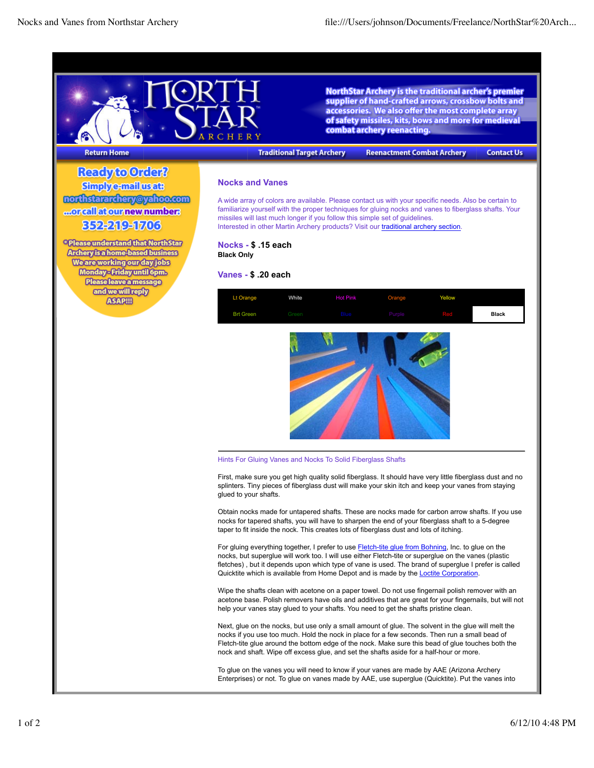

**NorthStar Archery is the traditional archer's premier** supplier of hand-crafted arrows, crossbow bolts and accessories. We also offer the most complete array of safety missiles, kits, bows and more for medieval combat archery reenacting.

## **Return Home**

**Traditional Target Archery** 

**Reenactment Combat Archery** 

**Contact Us** 

Ready to Order? **Simplye-mail usats** northstararchery@yahoo.com ...orcallat our new number: 352219-1703

<sup>®</sup> Please understand that North Star **Archery is a home-based business Weare working our day jobs** Monday-Friday until 6pm. Please leave a message and we will reply **ASAPIII** 

## **Nocks and Vanes**

A wide array of colors are available. Please contact us with your specific needs. Also be certain to familiarize yourself with the proper techniques for gluing nocks and vanes to fiberglass shafts. Your missiles will last much longer if you follow this simple set of guidelines. Interested in other Martin Archery products? Visit our traditional archery section.

**Nocks - \$ .15 each Black Only**

## **Vanes - \$ .20 each**





## Hints For Gluing Vanes and Nocks To Solid Fiberglass Shafts

First, make sure you get high quality solid fiberglass. It should have very little fiberglass dust and no splinters. Tiny pieces of fiberglass dust will make your skin itch and keep your vanes from staying glued to your shafts.

Obtain nocks made for untapered shafts. These are nocks made for carbon arrow shafts. If you use nocks for tapered shafts, you will have to sharpen the end of your fiberglass shaft to a 5-degree taper to fit inside the nock. This creates lots of fiberglass dust and lots of itching.

For gluing everything together, I prefer to use Fletch-tite glue from Bohning, Inc. to glue on the nocks, but superglue will work too. I will use either Fletch-tite or superglue on the vanes (plastic fletches), but it depends upon which type of vane is used. The brand of superglue I prefer is called Quicktite which is available from Home Depot and is made by the **Loctite Corporation**.

Wipe the shafts clean with acetone on a paper towel. Do not use fingernail polish remover with an acetone base. Polish removers have oils and additives that are great for your fingernails, but will not help your vanes stay glued to your shafts. You need to get the shafts pristine clean.

Next, glue on the nocks, but use only a small amount of glue. The solvent in the glue will melt the nocks if you use too much. Hold the nock in place for a few seconds. Then run a small bead of Fletch-tite glue around the bottom edge of the nock. Make sure this bead of glue touches both the nock and shaft. Wipe off excess glue, and set the shafts aside for a half-hour or more.

To glue on the vanes you will need to know if your vanes are made by AAE (Arizona Archery Enterprises) or not. To glue on vanes made by AAE, use superglue (Quicktite). Put the vanes into